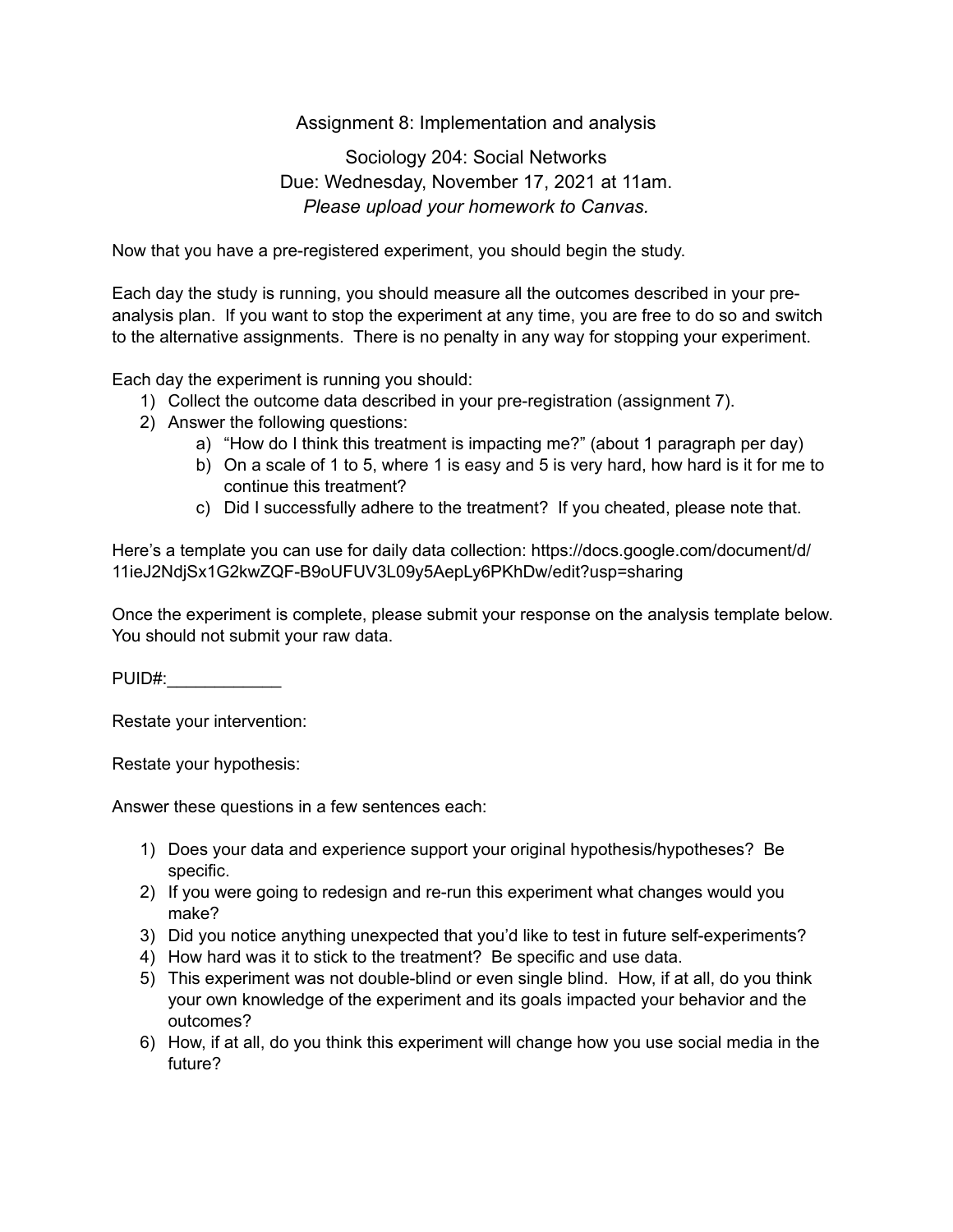## Assignment 8: Implementation and analysis

## Sociology 204: Social Networks Due: Wednesday, November 17, 2021 at 11am. *Please upload your homework to Canvas.*

Now that you have a pre-registered experiment, you should begin the study.

Each day the study is running, you should measure all the outcomes described in your preanalysis plan. If you want to stop the experiment at any time, you are free to do so and switch to the alternative assignments. There is no penalty in any way for stopping your experiment.

Each day the experiment is running you should:

- 1) Collect the outcome data described in your pre-registration (assignment 7).
- 2) Answer the following questions:
	- a) "How do I think this treatment is impacting me?" (about 1 paragraph per day)
	- b) On a scale of 1 to 5, where 1 is easy and 5 is very hard, how hard is it for me to continue this treatment?
	- c) Did I successfully adhere to the treatment? If you cheated, please note that.

Here's a template you can use for daily data collection: https://docs.google.com/document/d/ 11ieJ2NdjSx1G2kwZQF-B9oUFUV3L09y5AepLy6PKhDw/edit?usp=sharing

Once the experiment is complete, please submit your response on the analysis template below. You should not submit your raw data.

PUID#:\_\_\_\_\_\_\_\_\_\_\_\_

Restate your intervention:

Restate your hypothesis:

Answer these questions in a few sentences each:

- 1) Does your data and experience support your original hypothesis/hypotheses? Be specific.
- 2) If you were going to redesign and re-run this experiment what changes would you make?
- 3) Did you notice anything unexpected that you'd like to test in future self-experiments?
- 4) How hard was it to stick to the treatment? Be specific and use data.
- 5) This experiment was not double-blind or even single blind. How, if at all, do you think your own knowledge of the experiment and its goals impacted your behavior and the outcomes?
- 6) How, if at all, do you think this experiment will change how you use social media in the future?